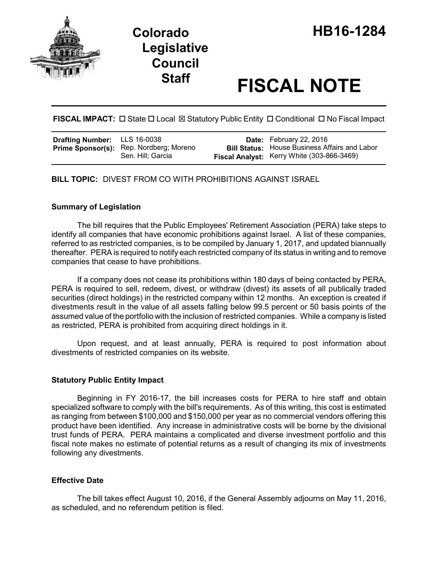

# **Staff FISCAL NOTE**

**FISCAL IMPACT:** □ State □ Local ⊠ Statutory Public Entity □ Conditional □ No Fiscal Impact

| <b>Drafting Number:</b> LLS 16-0038 |                                                              | <b>Date:</b> February 22, 2016                                                                            |
|-------------------------------------|--------------------------------------------------------------|-----------------------------------------------------------------------------------------------------------|
|                                     | Prime Sponsor(s): Rep. Nordberg; Moreno<br>Sen. Hill; Garcia | <b>Bill Status:</b> House Business Affairs and Labor<br><b>Fiscal Analyst:</b> Kerry White (303-866-3469) |

**BILL TOPIC:** DIVEST FROM CO WITH PROHIBITIONS AGAINST ISRAEL

### **Summary of Legislation**

The bill requires that the Public Employees' Retirement Association (PERA) take steps to identify all companies that have economic prohibitions against Israel. A list of these companies, referred to as restricted companies, is to be compiled by January 1, 2017, and updated biannually thereafter. PERA is required to notify each restricted company of its status in writing and to remove companies that cease to have prohibitions.

If a company does not cease its prohibitions within 180 days of being contacted by PERA, PERA is required to sell, redeem, divest, or withdraw (divest) its assets of all publically traded securities (direct holdings) in the restricted company within 12 months. An exception is created if divestments result in the value of all assets falling below 99.5 percent or 50 basis points of the assumed value of the portfolio with the inclusion of restricted companies. While a company is listed as restricted, PERA is prohibited from acquiring direct holdings in it.

Upon request, and at least annually, PERA is required to post information about divestments of restricted companies on its website.

### **Statutory Public Entity Impact**

Beginning in FY 2016-17, the bill increases costs for PERA to hire staff and obtain specialized software to comply with the bill's requirements. As of this writing, this cost is estimated as ranging from between \$100,000 and \$150,000 per year as no commercial vendors offering this product have been identified. Any increase in administrative costs will be borne by the divisional trust funds of PERA. PERA maintains a complicated and diverse investment portfolio and this fiscal note makes no estimate of potential returns as a result of changing its mix of investments following any divestments.

# **Effective Date**

The bill takes effect August 10, 2016, if the General Assembly adjourns on May 11, 2016, as scheduled, and no referendum petition is filed.